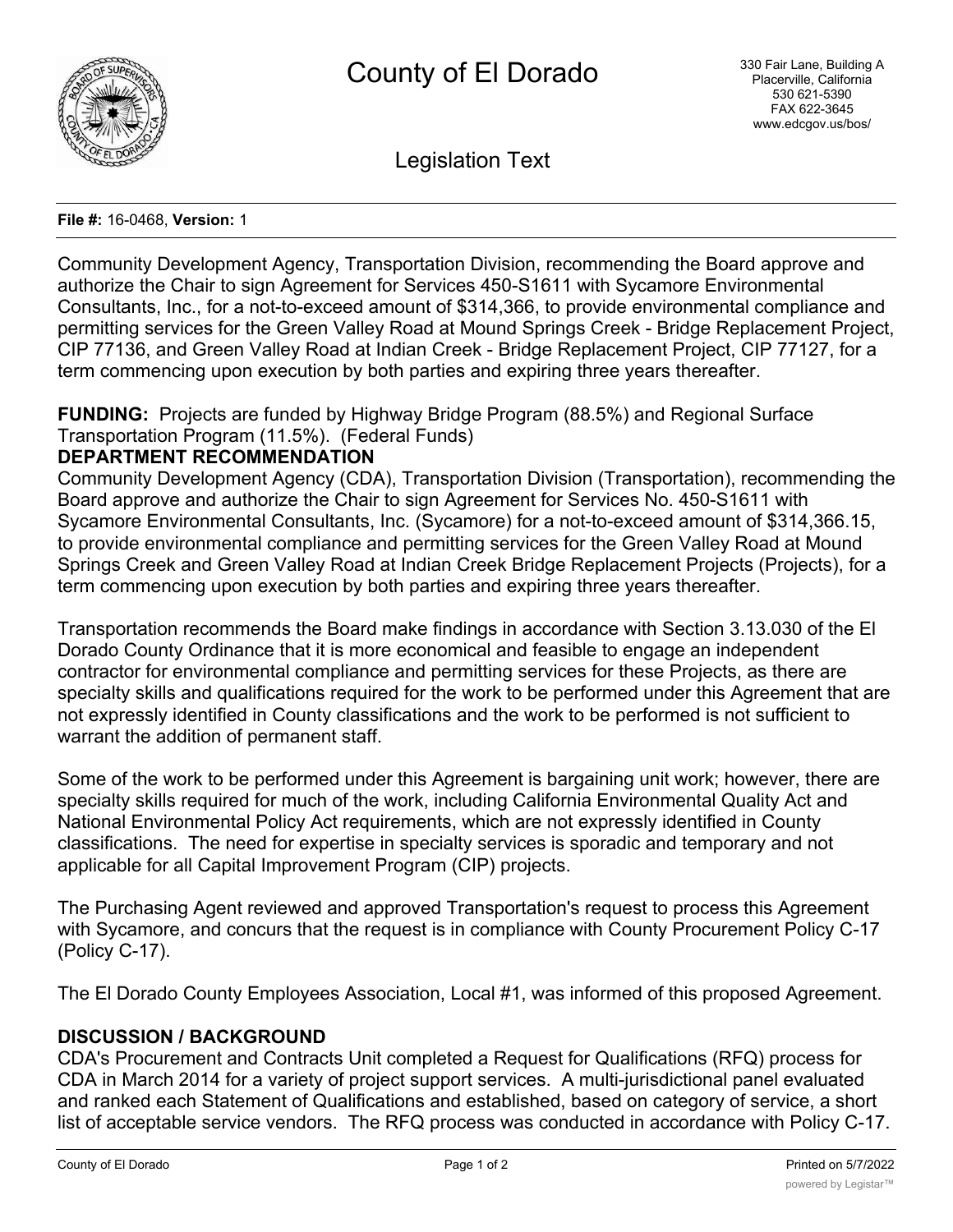

Legislation Text

#### **File #:** 16-0468, **Version:** 1

Community Development Agency, Transportation Division, recommending the Board approve and authorize the Chair to sign Agreement for Services 450-S1611 with Sycamore Environmental Consultants, Inc., for a not-to-exceed amount of \$314,366, to provide environmental compliance and permitting services for the Green Valley Road at Mound Springs Creek - Bridge Replacement Project, CIP 77136, and Green Valley Road at Indian Creek - Bridge Replacement Project, CIP 77127, for a term commencing upon execution by both parties and expiring three years thereafter.

**FUNDING:** Projects are funded by Highway Bridge Program (88.5%) and Regional Surface Transportation Program (11.5%). (Federal Funds)

# **DEPARTMENT RECOMMENDATION**

Community Development Agency (CDA), Transportation Division (Transportation), recommending the Board approve and authorize the Chair to sign Agreement for Services No. 450-S1611 with Sycamore Environmental Consultants, Inc. (Sycamore) for a not-to-exceed amount of \$314,366.15, to provide environmental compliance and permitting services for the Green Valley Road at Mound Springs Creek and Green Valley Road at Indian Creek Bridge Replacement Projects (Projects), for a term commencing upon execution by both parties and expiring three years thereafter.

Transportation recommends the Board make findings in accordance with Section 3.13.030 of the El Dorado County Ordinance that it is more economical and feasible to engage an independent contractor for environmental compliance and permitting services for these Projects, as there are specialty skills and qualifications required for the work to be performed under this Agreement that are not expressly identified in County classifications and the work to be performed is not sufficient to warrant the addition of permanent staff.

Some of the work to be performed under this Agreement is bargaining unit work; however, there are specialty skills required for much of the work, including California Environmental Quality Act and National Environmental Policy Act requirements, which are not expressly identified in County classifications. The need for expertise in specialty services is sporadic and temporary and not applicable for all Capital Improvement Program (CIP) projects.

The Purchasing Agent reviewed and approved Transportation's request to process this Agreement with Sycamore, and concurs that the request is in compliance with County Procurement Policy C-17 (Policy C-17).

The El Dorado County Employees Association, Local #1, was informed of this proposed Agreement.

# **DISCUSSION / BACKGROUND**

CDA's Procurement and Contracts Unit completed a Request for Qualifications (RFQ) process for CDA in March 2014 for a variety of project support services. A multi-jurisdictional panel evaluated and ranked each Statement of Qualifications and established, based on category of service, a short list of acceptable service vendors. The RFQ process was conducted in accordance with Policy C-17.